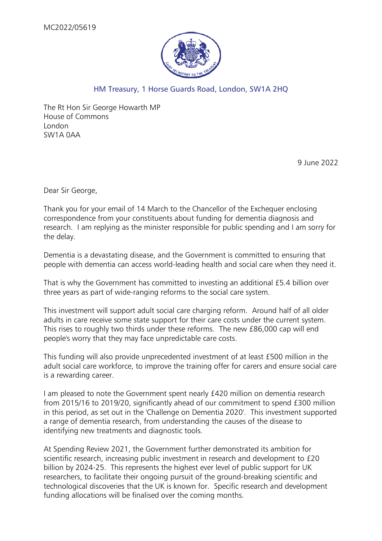

## HM Treasury, 1 Horse Guards Road, London, SW1A 2HQ

The Rt Hon Sir George Howarth MP House of Commons London SW1A 0AA

9 June 2022

Dear Sir George,

Thank you for your email of 14 March to the Chancellor of the Exchequer enclosing correspondence from your constituents about funding for dementia diagnosis and research. I am replying as the minister responsible for public spending and I am sorry for the delay.

Dementia is a devastating disease, and the Government is committed to ensuring that people with dementia can access world-leading health and social care when they need it.

That is why the Government has committed to investing an additional £5.4 billion over three years as part of wide-ranging reforms to the social care system.

This investment will support adult social care charging reform. Around half of all older adults in care receive some state support for their care costs under the current system. This rises to roughly two thirds under these reforms. The new £86,000 cap will end people's worry that they may face unpredictable care costs.

This funding will also provide unprecedented investment of at least £500 million in the adult social care workforce, to improve the training offer for carers and ensure social care is a rewarding career.

I am pleased to note the Government spent nearly £420 million on dementia research from 2015/16 to 2019/20, significantly ahead of our commitment to spend £300 million in this period, as set out in the 'Challenge on Dementia 2020'. This investment supported a range of dementia research, from understanding the causes of the disease to identifying new treatments and diagnostic tools.

At Spending Review 2021, the Government further demonstrated its ambition for scientific research, increasing public investment in research and development to £20 billion by 2024-25. This represents the highest ever level of public support for UK researchers, to facilitate their ongoing pursuit of the ground-breaking scientific and technological discoveries that the UK is known for. Specific research and development funding allocations will be finalised over the coming months.